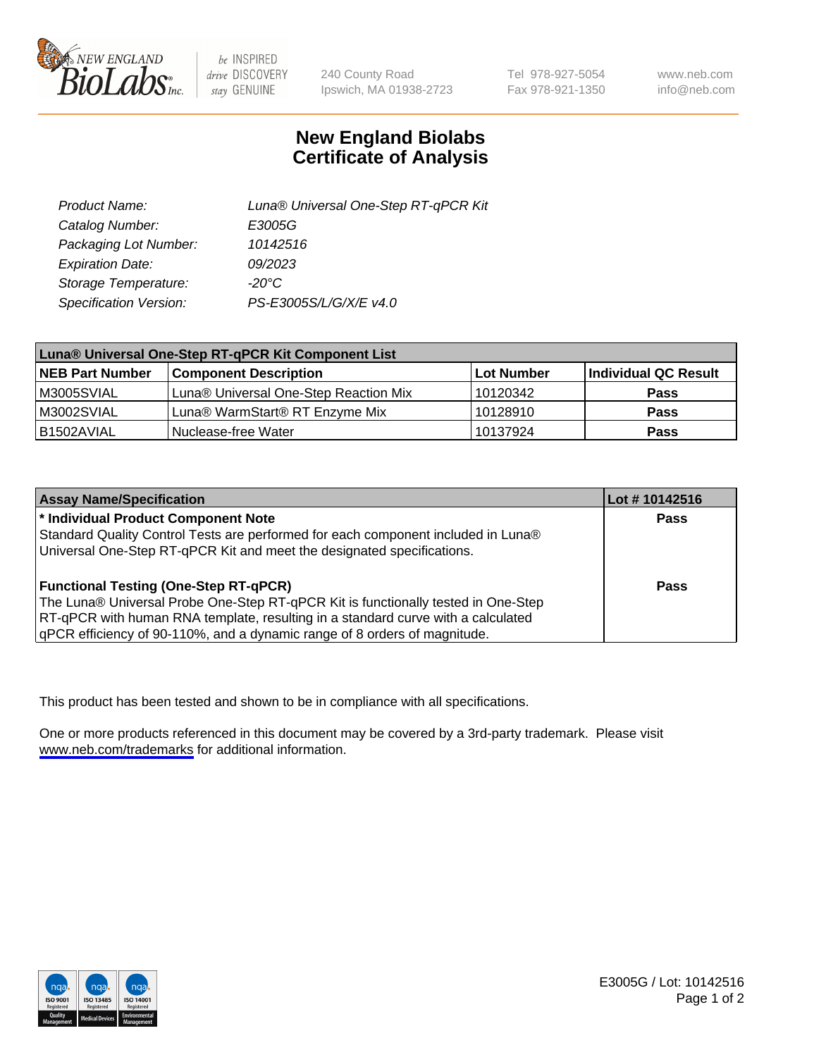

be INSPIRED drive DISCOVERY stay GENUINE

240 County Road Ipswich, MA 01938-2723 Tel 978-927-5054 Fax 978-921-1350

www.neb.com info@neb.com

## **New England Biolabs Certificate of Analysis**

| Product Name:           | Luna® Universal One-Step RT-qPCR Kit |  |
|-------------------------|--------------------------------------|--|
| Catalog Number:         | E3005G                               |  |
| Packaging Lot Number:   | 10142516                             |  |
| <b>Expiration Date:</b> | 09/2023                              |  |
| Storage Temperature:    | $-20^{\circ}$ C                      |  |
| Specification Version:  | PS-E3005S/L/G/X/E v4.0               |  |

| Luna® Universal One-Step RT-qPCR Kit Component List |                                       |            |                      |  |
|-----------------------------------------------------|---------------------------------------|------------|----------------------|--|
| <b>NEB Part Number</b>                              | <b>Component Description</b>          | Lot Number | Individual QC Result |  |
| IM3005SVIAL                                         | Luna® Universal One-Step Reaction Mix | 10120342   | <b>Pass</b>          |  |
| M3002SVIAL                                          | Luna® WarmStart® RT Enzyme Mix        | 10128910   | <b>Pass</b>          |  |
| B1502AVIAL                                          | Nuclease-free Water                   | 10137924   | <b>Pass</b>          |  |

| <b>Assay Name/Specification</b>                                                   | Lot #10142516 |
|-----------------------------------------------------------------------------------|---------------|
| * Individual Product Component Note                                               | Pass          |
| Standard Quality Control Tests are performed for each component included in Luna® |               |
| Universal One-Step RT-qPCR Kit and meet the designated specifications.            |               |
| <b>Functional Testing (One-Step RT-qPCR)</b>                                      | Pass          |
| The Luna® Universal Probe One-Step RT-qPCR Kit is functionally tested in One-Step |               |
| RT-qPCR with human RNA template, resulting in a standard curve with a calculated  |               |
| gPCR efficiency of 90-110%, and a dynamic range of 8 orders of magnitude.         |               |

This product has been tested and shown to be in compliance with all specifications.

One or more products referenced in this document may be covered by a 3rd-party trademark. Please visit <www.neb.com/trademarks>for additional information.